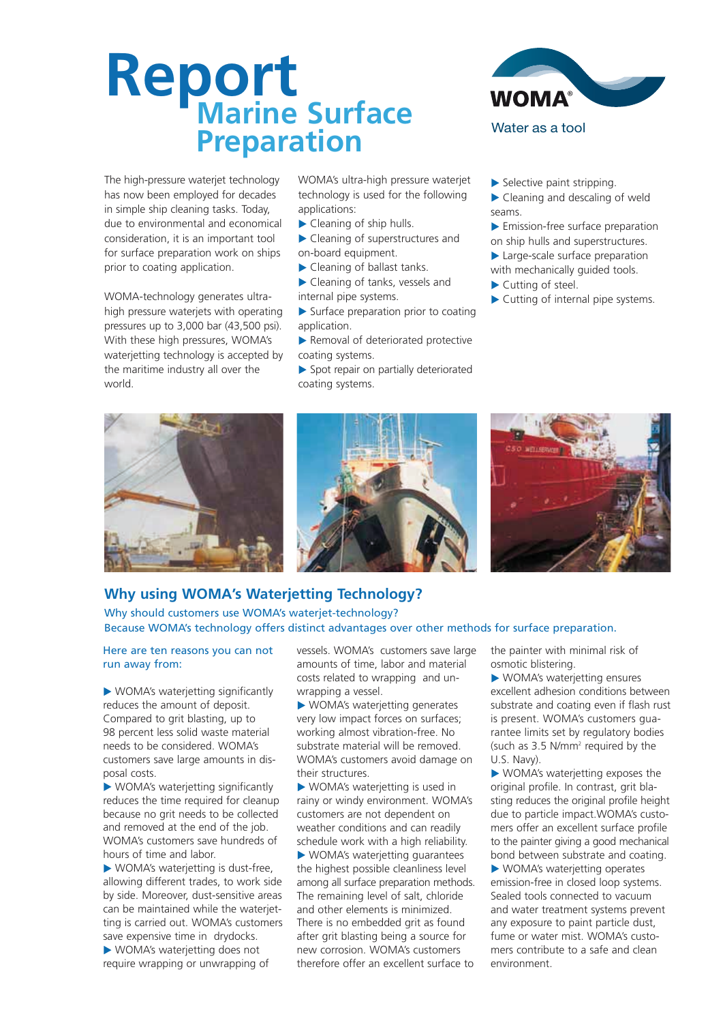# **Report Marine Surface Preparation**



WOMA-technology generates ultrahigh pressure waterjets with operating pressures up to 3,000 bar (43,500 psi). With these high pressures, WOMA's waterietting technology is accepted by the maritime industry all over the world.

WOMA's ultra-high pressure waterjet technology is used for the following applications:

- ▶ Cleaning of ship hulls.
- ▶ Cleaning of superstructures and on-board equipment.
- ▶ Cleaning of ballast tanks.
- Cleaning of tanks, vessels and internal pipe systems.
- Surface preparation prior to coating application.
- Removal of deteriorated protective coating systems.
- Spot repair on partially deteriorated coating systems.



### Water as a tool

- $\blacktriangleright$  Selective paint stripping.
- ▶ Cleaning and descaling of weld seams.

**Emission-free surface preparation** 

on ship hulls and superstructures.

Large-scale surface preparation

- with mechanically guided tools. Cutting of steel.
- 
- Cutting of internal pipe systems.







# **Why using WOMA's Waterjetting Technology?**

Why should customers use WOMA's waterjet-technology?

Because WOMA's technology offers distinct advantages over other methods for surface preparation.

### Here are ten reasons you can not run away from:

WOMA's waterjetting significantly reduces the amount of deposit. Compared to grit blasting, up to 98 percent less solid waste material needs to be considered. WOMA's customers save large amounts in disposal costs.

WOMA's waterjetting significantly reduces the time required for cleanup because no grit needs to be collected and removed at the end of the job. WOMA's customers save hundreds of hours of time and labor.

WOMA's waterjetting is dust-free, allowing different trades, to work side by side. Moreover, dust-sensitive areas can be maintained while the waterjetting is carried out. WOMA's customers save expensive time in drydocks.

WOMA's waterjetting does not require wrapping or unwrapping of vessels. WOMA's customers save large amounts of time, labor and material costs related to wrapping and unwrapping a vessel.

▶ WOMA's waterietting generates very low impact forces on surfaces; working almost vibration-free. No substrate material will be removed. WOMA's customers avoid damage on their structures.

WOMA's waterjetting is used in rainy or windy environment. WOMA's customers are not dependent on weather conditions and can readily schedule work with a high reliability.

WOMA's waterjetting guarantees the highest possible cleanliness level among all surface preparation methods. The remaining level of salt, chloride and other elements is minimized. There is no embedded grit as found after grit blasting being a source for new corrosion. WOMA's customers therefore offer an excellent surface to the painter with minimal risk of osmotic blistering.

WOMA's waterjetting ensures excellent adhesion conditions between substrate and coating even if flash rust is present. WOMA's customers guarantee limits set by regulatory bodies (such as 3.5 N/mm2 required by the U.S. Navy).

WOMA's waterjetting exposes the original profile. In contrast, grit blasting reduces the original profile height due to particle impact.WOMA's customers offer an excellent surface profile to the painter giving a good mechanical bond between substrate and coating. WOMA's waterjetting operates emission-free in closed loop systems. Sealed tools connected to vacuum and water treatment systems prevent any exposure to paint particle dust, fume or water mist. WOMA's customers contribute to a safe and clean environment.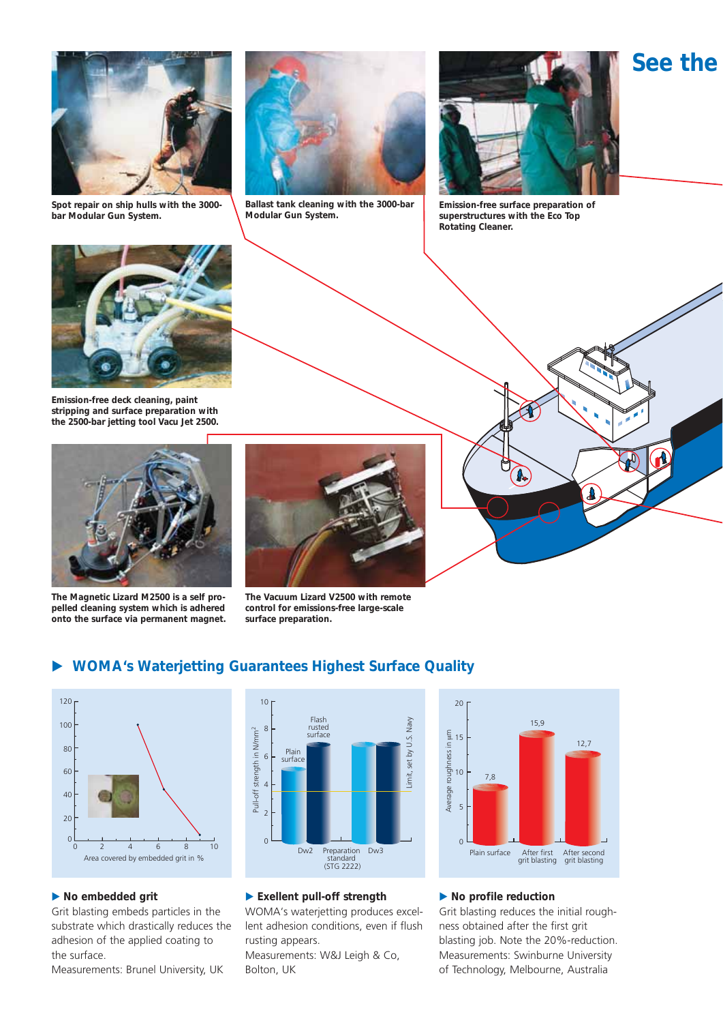

**Spot repair on ship hulls with the 3000 bar Modular Gun System.**



**Ballast tank cleaning with the 3000-bar Modular Gun System.**



**See the** 

**Emission-free surface preparation of superstructures with the Eco Top Rotating Cleaner.**



**Emission-free deck cleaning, paint stripping and surface preparation with the 2500-bar jetting tool Vacu Jet 2500.**



**The Magnetic Lizard M2500 is a self propelled cleaning system which is adhered onto the surface via permanent magnet.**



**The Vacuum Lizard V2500 with remote control for emissions-free large-scale surface preparation.**



#### -**WOMA's Waterjetting Guarantees Highest Surface Quality**



### - **No embedded grit**

Grit blasting embeds particles in the substrate which drastically reduces the adhesion of the applied coating to the surface.

Measurements: Brunel University, UK



### - **Exellent pull-off strength**

WOMA's waterjetting produces excellent adhesion conditions, even if flush rusting appears. Measurements: W&J Leigh & Co, Bolton, UK



### $\blacktriangleright$  No profile reduction

Grit blasting reduces the initial roughness obtained after the first grit blasting job. Note the 20%-reduction. Measurements: Swinburne University of Technology, Melbourne, Australia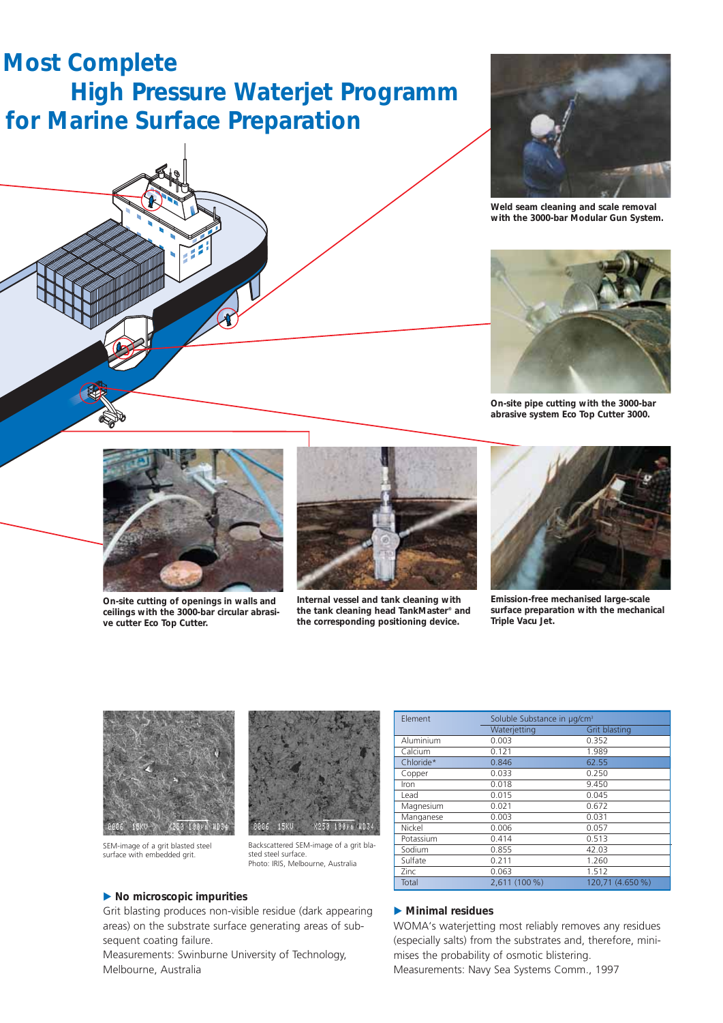# **Most Complete High Pressure Waterjet Programm for Marine Surface Preparation**





**Weld seam cleaning and scale removal with the 3000-bar Modular Gun System.**



**On-site pipe cutting with the 3000-bar abrasive system Eco Top Cutter 3000.**



**On-site cutting of openings in walls and ceilings with the 3000-bar circular abrasive cutter Eco Top Cutter.**



**Internal vessel and tank cleaning with the tank cleaning head TankMaster® and the corresponding positioning device.**



**Emission-free mechanised large-scale surface preparation with the mechanical Triple Vacu Jet.**



SEM-image of a grit blasted steel surface with embedded grit.



Backscattered SEM-image of a grit blasted steel surface. Photo: IRIS, Melbourne, Australia

|  | Element   | Soluble Substance in µg/cm <sup>3</sup> |                  |  |  |
|--|-----------|-----------------------------------------|------------------|--|--|
|  |           | Waterjetting                            | Grit blasting    |  |  |
|  | Aluminium | 0.003                                   | 0.352            |  |  |
|  | Calcium   | 0.121                                   | 1.989            |  |  |
|  | Chloride* | 0.846                                   | 62.55            |  |  |
|  | Copper    | 0.033                                   | 0.250            |  |  |
|  | Iron      | 0.018                                   | 9.450            |  |  |
|  | Lead      | 0.015                                   | 0.045            |  |  |
|  | Magnesium | 0.021                                   | 0.672            |  |  |
|  | Manganese | 0.003                                   | 0.031            |  |  |
|  | Nickel    | 0.006                                   | 0.057            |  |  |
|  | Potassium | 0.414                                   | 0.513            |  |  |
|  | Sodium    | 0.855                                   | 42.03            |  |  |
|  | Sulfate   | 0.211                                   | 1.260            |  |  |
|  | Zinc      | 0.063                                   | 1.512            |  |  |
|  | Total     | 2.611 (100 %)                           | 120.71 (4.650 %) |  |  |

### - **No microscopic impurities**

Grit blasting produces non-visible residue (dark appearing areas) on the substrate surface generating areas of subsequent coating failure.

Measurements: Swinburne University of Technology, Melbourne, Australia

### - **Minimal residues**

WOMA's waterjetting most reliably removes any residues (especially salts) from the substrates and, therefore, minimises the probability of osmotic blistering.

Measurements: Navy Sea Systems Comm., 1997